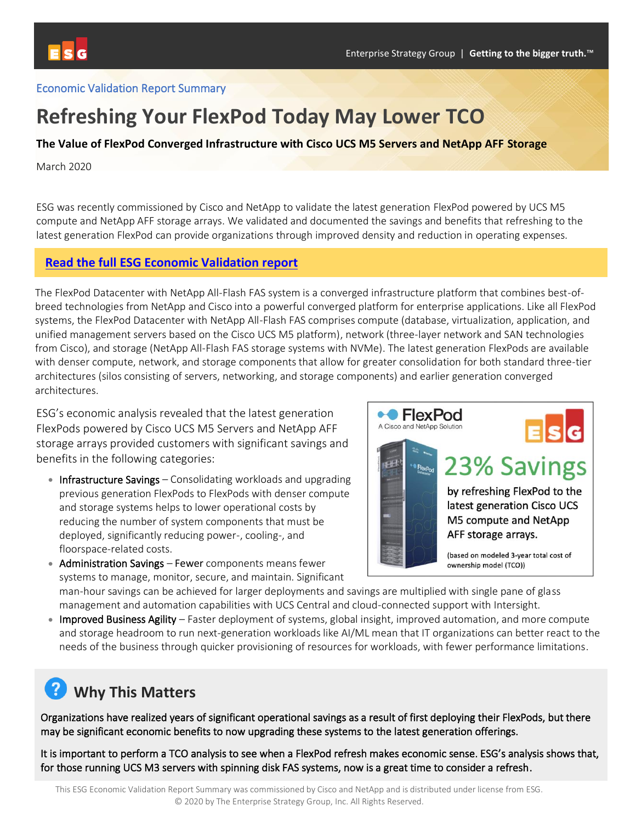### Economic Validation Report Summary

## **Refreshing Your FlexPod Today May Lower TCO**

#### **The Value of FlexPod Converged Infrastructure with Cisco UCS M5 Servers and NetApp AFF Storage**

March 2020

ESG was recently commissioned by Cisco and NetApp to validate the latest generation FlexPod powered by UCS M5 compute and NetApp AFF storage arrays. We validated and documented the savings and benefits that refreshing to the latest generation FlexPod can provide organizations through improved density and reduction in operating expenses.

### **[Read the full ESG Economic Validation](https://flexpod.com/) report**

The FlexPod Datacenter with NetApp All-Flash FAS system is a converged infrastructure platform that combines best-ofbreed technologies from NetApp and Cisco into a powerful converged platform for enterprise applications. Like all FlexPod systems, the FlexPod Datacenter with NetApp All-Flash FAS comprises compute (database, virtualization, application, and unified management servers based on the Cisco UCS M5 platform), network (three-layer network and SAN technologies from Cisco), and storage (NetApp All-Flash FAS storage systems with NVMe). The latest generation FlexPods are available with denser compute, network, and storage components that allow for greater consolidation for both standard three-tier architectures (silos consisting of servers, networking, and storage components) and earlier generation converged architectures.

ESG's economic analysis revealed that the latest generation FlexPods powered by Cisco UCS M5 Servers and NetApp AFF storage arrays provided customers with significant savings and benefits in the following categories:

- Infrastructure Savings Consolidating workloads and upgrading previous generation FlexPods to FlexPods with denser compute and storage systems helps to lower operational costs by reducing the number of system components that must be deployed, significantly reducing power-, cooling-, and floorspace-related costs.
- •• FlexPod A Cisco and NetApp Solution

# 23% Savings

by refreshing FlexPod to the latest generation Cisco UCS M5 compute and NetApp AFF storage arrays.

(based on modeled 3-year total cost of ownership model (TCO))

• Administration Savings – Fewer components means fewer systems to manage, monitor, secure, and maintain. Significant

man-hour savings can be achieved for larger deployments and savings are multiplied with single pane of glass management and automation capabilities with UCS Central and cloud-connected support with Intersight.

• Improved Business Agility – Faster deployment of systems, global insight, improved automation, and more compute and storage headroom to run next-generation workloads like AI/ML mean that IT organizations can better react to the needs of the business through quicker provisioning of resources for workloads, with fewer performance limitations.

## **Why This Matters**

Organizations have realized years of significant operational savings as a result of first deploying their FlexPods, but there may be significant economic benefits to now upgrading these systems to the latest generation offerings.

It is important to perform a TCO analysis to see when a FlexPod refresh makes economic sense. ESG's analysis shows that, for those running UCS M3 servers with spinning disk FAS systems, now is a great time to consider a refresh.